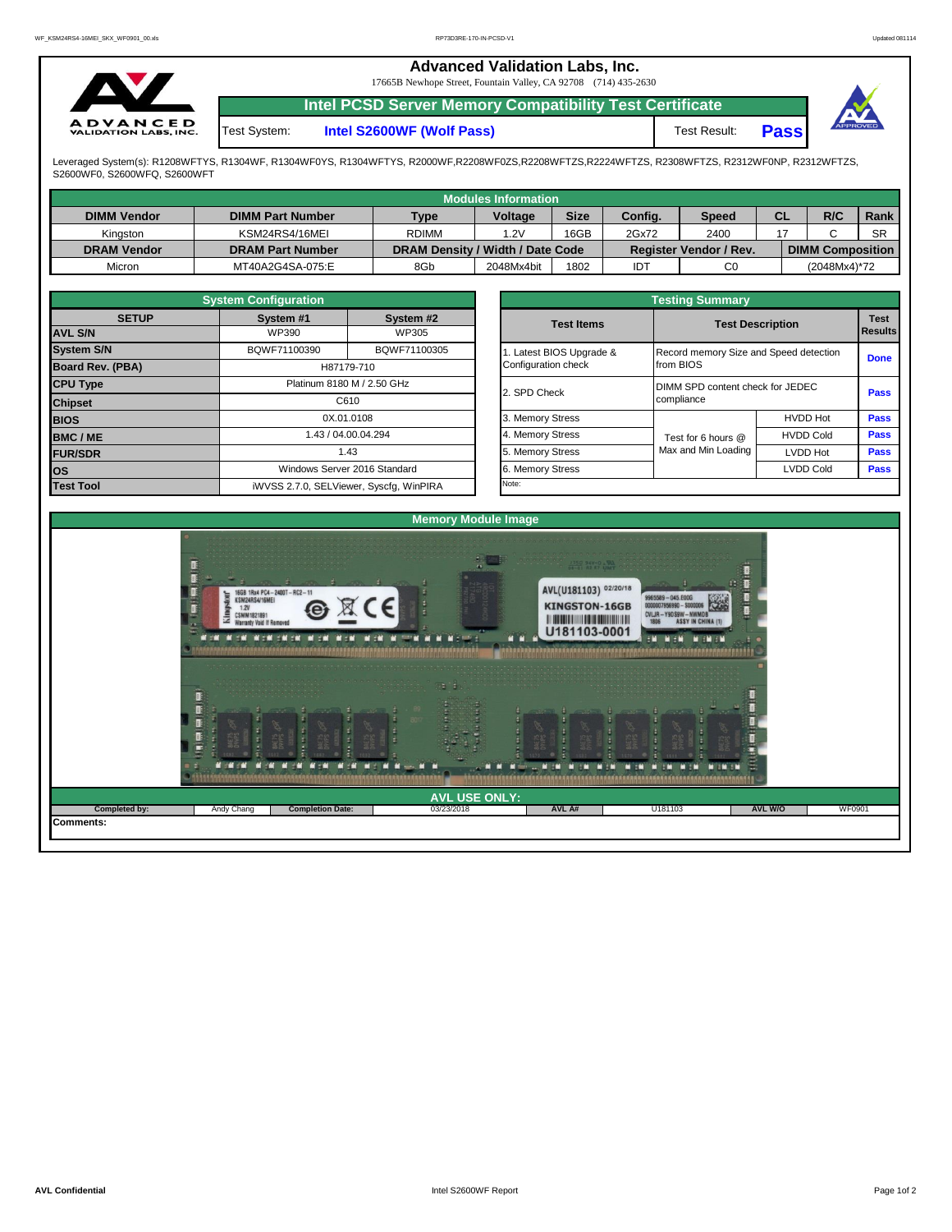| ∽                                               |              | <b>Advanced Validation Labs, Inc.</b><br>17665B Newhope Street, Fountain Valley, CA 92708 (714) 435-2630 |              |             |          |
|-------------------------------------------------|--------------|----------------------------------------------------------------------------------------------------------|--------------|-------------|----------|
|                                                 |              | <b>Intel PCSD Server Memory Compatibility Test Certificate</b>                                           |              |             |          |
| <b>ADVANCED</b><br><b>VALIDATION LABS, INC.</b> | Test System: | Intel S2600WF (Wolf Pass)                                                                                | Test Result: | <b>Pass</b> | APPROVED |

Leveraged System(s): R1208WFTYS, R1304WF, R1304WF0YS, R1304WFTYS, R2000WF,R2208WF0ZS,R2208WFTZS,R2224WFTZS, R2308WFTZS, R2312WF0NP, R2312WFTZS,<br>S2600WF0, S2600WFQ, S2600WFT

|                    |                         |                                  | Modules Information |             |         |                               |    |                         |           |
|--------------------|-------------------------|----------------------------------|---------------------|-------------|---------|-------------------------------|----|-------------------------|-----------|
| <b>DIMM Vendor</b> | <b>DIMM Part Number</b> | <b>Type</b>                      | <b>Voltage</b>      | <b>Size</b> | Config. | <b>Speed</b>                  | СL | R/C                     | Rank      |
| Kinaston           | KSM24RS4/16MEI          | <b>RDIMM</b>                     | .2V                 | 16GB        | 2Gx72   | 2400                          |    |                         | <b>SR</b> |
| <b>DRAM Vendor</b> | <b>DRAM Part Number</b> | DRAM Density / Width / Date Code |                     |             |         | <b>Register Vendor / Rev.</b> |    | <b>DIMM Composition</b> |           |
| Micron             | MT40A2G4SA-075:E        | 8Gb                              | 2048Mx4bit          | 1802        | IDT     | C0                            |    | (2048Mx4)*72            |           |

|                         | <b>System Configuration</b> |                                         |                         | <b>Testing Summary</b>                 |                         |                        |  |  |  |
|-------------------------|-----------------------------|-----------------------------------------|-------------------------|----------------------------------------|-------------------------|------------------------|--|--|--|
| <b>SETUP</b>            | System #1                   | System #2                               | <b>Test Items</b>       |                                        | <b>Test Description</b> | <b>Test</b><br>Results |  |  |  |
| <b>AVL S/N</b>          | WP390                       | WP305                                   |                         |                                        |                         |                        |  |  |  |
| <b>System S/N</b>       | BQWF71100390                | BQWF71100305                            | . Latest BIOS Upgrade & | Record memory Size and Speed detection |                         | <b>Done</b>            |  |  |  |
| <b>Board Rev. (PBA)</b> |                             | H87179-710                              | Configuration check     | from BIOS                              |                         |                        |  |  |  |
| <b>CPU Type</b>         |                             | Platinum 8180 M / 2.50 GHz              | 2. SPD Check            | DIMM SPD content check for JEDEC       |                         |                        |  |  |  |
| <b>Chipset</b>          |                             | C610                                    |                         | compliance                             |                         |                        |  |  |  |
| <b>BIOS</b>             |                             | 0X.01.0108                              | 3. Memory Stress        |                                        | <b>HVDD Hot</b>         | <b>Pass</b>            |  |  |  |
| <b>BMC/ME</b>           |                             | 1.43 / 04.00.04.294                     | 4. Memory Stress        | Test for 6 hours @                     | <b>HVDD Cold</b>        | <b>Pass</b>            |  |  |  |
| <b>FUR/SDR</b>          |                             | 1.43                                    | 5. Memory Stress        | Max and Min Loading                    | <b>LVDD Hot</b>         | <b>Pass</b>            |  |  |  |
| <b>los</b>              |                             | Windows Server 2016 Standard            | 6. Memory Stress        |                                        | <b>LVDD Cold</b>        | Pass                   |  |  |  |
| <b>Test Tool</b>        |                             | iWVSS 2.7.0, SELViewer, Syscfg, WinPIRA | Note:                   |                                        |                         |                        |  |  |  |

|              | <b>System Configuration</b> |                                    |                         | <b>Testing Summary</b>                 |                  |                |
|--------------|-----------------------------|------------------------------------|-------------------------|----------------------------------------|------------------|----------------|
| <b>SETUP</b> | System #1                   | System #2                          | <b>Test Items</b>       | <b>Test Description</b>                |                  | <b>Test</b>    |
|              | WP390                       | <b>WP305</b>                       |                         |                                        |                  | <b>Results</b> |
|              | BQWF71100390                | BQWF71100305                       | . Latest BIOS Upgrade & | Record memory Size and Speed detection |                  |                |
| PBA)         |                             | H87179-710                         | Configuration check     | from BIOS                              |                  | <b>Done</b>    |
|              |                             | Platinum 8180 M / 2.50 GHz         | 2. SPD Check            | DIMM SPD content check for JEDEC       |                  | <b>Pass</b>    |
|              |                             | C610                               |                         | compliance                             |                  |                |
|              |                             | 0X.01.0108                         | 3. Memory Stress        |                                        | <b>HVDD Hot</b>  | <b>Pass</b>    |
|              |                             | 1.43 / 04.00.04.294                | 4. Memory Stress        | Test for 6 hours @                     | <b>HVDD Cold</b> | <b>Pass</b>    |
|              |                             | 1.43                               | 5. Memory Stress        | Max and Min Loading                    | LVDD Hot         | <b>Pass</b>    |
|              |                             | Windows Server 2016 Standard       | 6. Memory Stress        |                                        | <b>LVDD Cold</b> | <b>Pass</b>    |
|              |                             | iMVSS 270 SELViewer Svecta WinPIRA | Note:                   |                                        |                  |                |